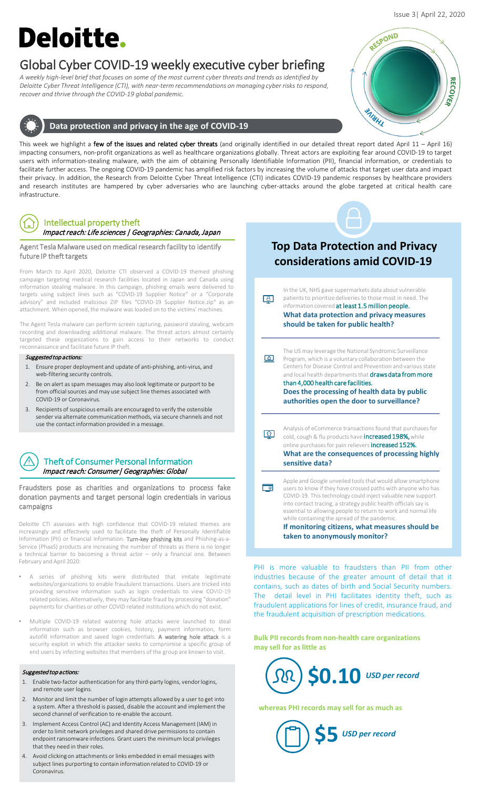# **Deloitte.**

# Global Cyber COVID-19 weekly executive cyber briefing

*A weekly high-level brief that focuses on some of the most current cyber threats and trends as identified by Deloitte Cyber Threat Intelligence (CTI), with near-term recommendations on managing cyber risks to respond, recover and thrive through the COVID-19 global pandemic.* 



This week we highlight a few of the issues and related cyber threats (and originally identified in our detailed threat report dated April 11 - April 16) impacting consumers, non-profit organizations as well as healthcare organizations globally. Threat actors are exploiting fear around COVID-19 to target users with information-stealing malware, with the aim of obtaining Personally Identifiable Information (PII), financial information, or credentials to facilitate further access. The ongoing COVID-19 pandemic has amplified risk factors by increasing the volume of attacks that target user data and impact their privacy. In addition, the Research from Deloitte Cyber Threat Intelligence (CTI) indicates COVID-19 pandemic responses by healthcare providers and research institutes are hampered by cyber adversaries who are launching cyber-attacks around the globe targeted at critical health care infrastructure.

# Intellectual property theft

Impact reach: Life sciences | Geographies: Canada, Japan

### Agent Tesla Malware used on medical research facility to identify future IP theft targets

From March to April 2020, Deloitte CTI observed a COVID-19 themed phishing campaign targeting medical research facilities located in Japan and Canada using information stealing malware. In this campaign, phishing emails were delivered to targets using subject lines such as "COVID-19 Supplier Notice" or a "Corporate advisory" and included malicious ZIP files "COVID-19 Supplier Notice.zip" as an attachment. When opened, the malware was loaded on to the victims' machines.

The Agent Tesla malware can perform screen capturing, password stealing, webcam recording and downloading additional malware. The threat actors almost certainly targeted these organizations to gain access to their networks to conduct reconnaissance and facilitate future IP theft.

### Suggested top actions:

- 1. Ensure proper deployment and update of anti-phishing, anti-virus, and web-filtering security controls.
- Be on alert as spam messages may also look legitimate or purport to be from official sources and may use subject line themes associated with COVID-19 or Coronavirus.
- 3. Recipients of suspicious emails are encouraged to verify the ostensible sender via alternate communication methods, via secure channels and not use the contact information provided in a message.

# Theft of Consumer Personal Information Impact reach: Consumer| Geographies: Global

Fraudsters pose as charities and organizations to process fake donation payments and target personal login credentials in various campaigns

Deloitte CTI assesses with high confidence that COVID-19 related themes are increasingly and effectively used to facilitate the theft of Personally Identifiable Information (PII) or financial information. Turn-key phishing kits and Phishing-as-a-Service (PhaaS) products are increasing the number of threats as there is no longer a technical barrier to becoming a threat actor – only a financial one. Between February and April 2020:

- A series of phishing kits were distributed that imitate legitimate websites/organizations to enable fraudulent transactions. Users are tricked into providing sensitive information such as login credentials to view COVID-19 related policies. Alternatively, they may facilitate fraud by processing "donation" payments for charities or other COVID related institutions which do not exist.
- Multiple COVID-19 related watering hole attacks were launched to steal information such as browser cookies, history, payment information, form autofill information and saved login credentials. A watering hole attack is a security exploit in which the attacker seeks to compromise a specific group of end users by infecting websites that members of the group are known to visit.

#### Suggested top actions:

- 1. Enable two-factor authentication for any third-party logins, vendor logins, and remote user logins.
- 2. Monitor and limit the number of login attempts allowed by a user to get into a system. After a threshold is passed, disable the account and implement the second channel of verification to re-enable the account.
- 3. Implement Access Control (AC) and Identity Access Management (IAM) in order to limit network privileges and shared drive permissions to contain endpoint ransomware infections. Grant users the minimum local privileges that they need in their roles.
- 4. Avoid clicking on attachments or links embedded in email messages with subject lines purporting to contain information related to COVID-19 or Coronavirus.

# **Top Data Protection and Privacy considerations amid COVID-19**



**If monitoring citizens, what measures should be taken to anonymously monitor?** 

PHI is more valuable to fraudsters than PII from other industries because of the greater amount of detail that it contains, such as dates of birth and Social Security numbers. The detail level in PHI facilitates identity theft, such as fraudulent applications for lines of credit, insurance fraud, and the fraudulent acquisition of prescription medications.

**Bulk PII records from non-health care organizations may sell for as little as** 



**\$5** *USD per record*

**whereas PHI records may sell for as much as**